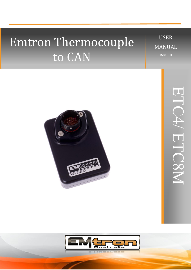# Emtron Thermocouple to CAN

USER MANUAL Rev 1.0

ETC4

 $\diagup$ 

ETC8M



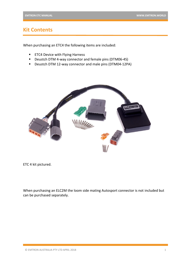# **Kit Contents**

When purchasing an ETC4 the following items are included:

- ETC4 Device with Flying Harness
- Deustch DTM 4-way connector and female pins (DTM06-4S)
- Deustch DTM 12-way connector and male pins (DTM04-12PA)



ETC 4 kit pictured.

When purchasing an ELC2M the loom side mating Autosport connector is not included but can be purchased separately.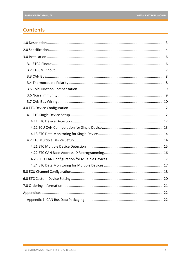# **Contents**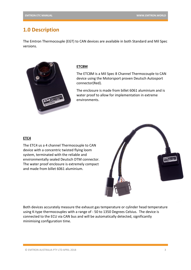# <span id="page-3-0"></span>**1.0 Description**

The Emtron Thermocouple (EGT) to CAN devices are available in both Standard and Mil Spec versions.



#### **ETC8M**

The ETC8M is a Mil Spec 8 Channel Thermocouple to CAN device using the Motorsport proven Deutsch Autosport connector(Red).

The enclosure is made from billet 6061 aluminium and is water proof to allow for implementation in extreme environments.

### **ETC4**

The ETC4 us a 4 channel Thermocouple to CAN device with a concentric twisted flying loom system, terminated with the reliable and environmentally sealed Deutsch DTM connector. The water proof enclosure is extremely compact and made from billet 6061 aluminium.



Both devices accurately measure the exhaust gas temperature or cylinder head temperature using K-type thermocouples with a range of - 50 to 1350 Degrees Celsius. The device is connected to the ECU via CAN bus and will be automatically detected, significantly minimising configuration time.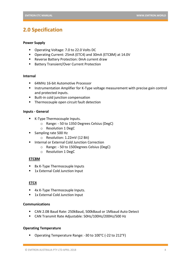# <span id="page-4-0"></span>**2.0 Specification**

#### **Power Supply**

- Operating Voltage: 7.0 to 22.0 Volts DC
- Operating Current: 25mA (ETC4) and 30mA (ETC8M) at 14.0V
- Reverse Battery Protection: 0mA current draw
- Battery Transient/Over Current Protection

#### **Internal**

- 64MHz 16-bit Automotive Processor
- Instrumentation Amplifier for K-Type voltage measurement with precise gain control and protected inputs.
- Built-in cold junction compensation
- **E** Thermocouple open circuit fault detection

### **Inputs - General**

- K-Type Thermocouple Inputs.
	- o Range: 50 to 1350 Degrees Celsius (DegC)
	- o Resolution 1 DegC
- Sampling rate 500 Hz
	- o Resolution: 1.22mV (12 Bit)
- Internal or External Cold Junction Correction
	- o Range: 50 to 150Degrees Celsius (DegC)
	- o Resolution 1 DegC

### **ETC8M**

- 8x K-Type Thermocouple Inputs
- 1x External Cold Junction Input

### **ETC4**

- 4x K-Type Thermocouple Inputs.
- 1x External Cold Junction Input

### **Communications**

- CAN 2.0B Baud Rate: 250kBaud, 500kBaud or 1Mbaud Auto Detect
- CAN Transmit Rate Adjustable: 50Hz/100Hz/200Hz/500 Hz

### **Operating Temperature**

Operating Temperature Range: -30 to 100°C (-22 to 212°F)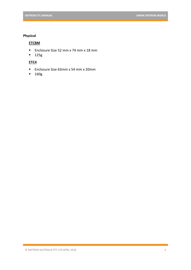### **Physical**

### **ETC8M**

- Enclosure Size 52 mm x 74 mm x 18 mm
- 125g

### **ETC4**

- Enclosure Size 63mm x 54 mm x 20mm
- 160g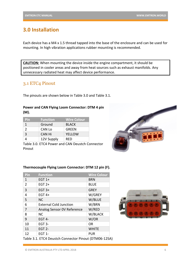# <span id="page-6-0"></span>**3.0 Installation**

Each device has a M4 x 1.5 thread tapped into the base of the enclosure and can be used for mounting. In high vibration applications rubber mounting is recommended.

**CAUTION:** When mounting the device inside the engine compartment, it should be positioned in cooler areas and away from heat sources such as exhaust manifolds. Any unnecessary radiated heat may affect device performance.

# <span id="page-6-1"></span>3.1 ETC4 Pinout

The pinouts are shown below in Table 3.0 and Table 3.1.

### **Power and CAN Flying Loom Connector: DTM 4 pin (M).**

| <b>Pin</b> | <b>Function</b> | <b>Wire Colour</b> |
|------------|-----------------|--------------------|
|            | Ground          | <b>BLACK</b>       |
| 2          | CAN Lo          | <b>GREEN</b>       |
| 3          | <b>CAN Hi</b>   | <b>YELLOW</b>      |
|            | 12V Supply      | RFD                |

Table 3.0. ETC4 Power and CAN Deustch Connector Pinout



### **Thermocouple Flying Loom Connector: DTM 12 pin (F).**

| Pin                                                   | <b>Function</b>               | <b>Wire Colour</b> |
|-------------------------------------------------------|-------------------------------|--------------------|
| 1                                                     | EGT $1+$                      | <b>BRN</b>         |
| 2                                                     | EGT $2+$                      | <b>BLUE</b>        |
| 3                                                     | EGT $3+$                      | <b>GREY</b>        |
| 4                                                     | EGT $4+$                      | W/GREY             |
| 5                                                     | <b>NC</b>                     | W/BLUE             |
| 6                                                     | <b>External Cold Junction</b> | W/BRN              |
| 7                                                     | Analog Sensor OV Reference    | W/RED              |
| 8                                                     | <b>NC</b>                     | W/BLACK            |
| 9                                                     | EGT <sub>4</sub>              | W/OR               |
| 10                                                    | EGT 3-                        | OR.                |
| 11                                                    | <b>EGT 2-</b>                 | <b>WHITE</b>       |
| 12                                                    | <b>EGT 1-</b>                 | <b>PUR</b>         |
| Table 3.1. ETC4 Deustch Connector Pinout (DTM06-12SA) |                               |                    |

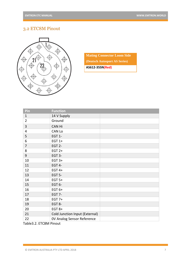# <span id="page-7-0"></span>3.2 ETC8M Pinout



|  |  | <b>Mating Connector Loom Side</b> |
|--|--|-----------------------------------|
|--|--|-----------------------------------|

**(Deutsch Autosport AS Series)**

**AS612-35SN(Red)**

| Pin            | <b>Function</b>                |  |
|----------------|--------------------------------|--|
| $\mathbf{1}$   | 14 V Supply                    |  |
| $\overline{2}$ | Ground                         |  |
| 3              | <b>CAN Hi</b>                  |  |
| 4              | CAN Lo                         |  |
| 5              | <b>EGT 1-</b>                  |  |
| 6              | EGT $1+$                       |  |
| 7              | EGT <sub>2</sub> -             |  |
| 8              | EGT $2+$                       |  |
| 9              | EGT 3-                         |  |
| 10             | EGT $3+$                       |  |
| 11             | EGT 4-                         |  |
| 12             | EGT $4+$                       |  |
| 13             | <b>EGT 5-</b>                  |  |
| 14             | EGT $5+$                       |  |
| 15             | EGT <sub>6</sub> -             |  |
| 16             | EGT $6+$                       |  |
| 17             | <b>EGT 7-</b>                  |  |
| 18             | EGT $7+$                       |  |
| 19             | EGT 8-                         |  |
| 20             | EGT $8+$                       |  |
| 21             | Cold Junction Input (External) |  |
| 22             | OV Analog Sensor Reference     |  |

Table3.2. ETC8M Pinout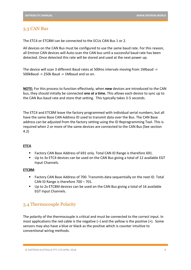### <span id="page-8-0"></span>3.3 CAN Bus

The ETC4 or ETC8M can be connected to the ECUs CAN Bus 1 or 2.

All devices on the CAN Bus must be configured to use the same baud rate. For this reason, all Emtron CAN devices will Auto-scan the CAN bus until a successful baud rate has been detected. Once detected this rate will be stored and used at the next power up.

The device will scan 3 different Baud rates at 500ms intervals moving from 1Mbaud -> 500kBaud -> 250k Baud -> 1Mbaud and so on.

**NOTE:** For this process to function effectively, when **new** devices are introduced to the CAN bus, they should initially be connected **one at a time.** This allows each device to sync up to the CAN Bus baud rate and store that setting. This typically takes 3-5 seconds.

The ETC4 and ETC8M leave the factory programmed with individual serial numbers, but all have the same Base CAN Address ID used to transmit data over the Bus. The CAN Base address can be adjusted from the factory setting using the ID Reprogramming Tool. This is required when 2 or more of the same devices are connected to the CAN Bus (See section 4.2)

### **ETC4**.

- Factory CAN Base Address of 691 only. Total CAN ID Range is therefore 691.
- Up to 3x ETC4 devices can be used on the CAN Bus giving a total of 12 available EGT Input Channels.

### **ETC8M**.

- Factory CAN Base Address of 700. Transmits data sequentially on the next ID. Total CAN ID Range is therefore 700 – 701.
- Up to 2x ETC8M devices can be used on the CAN Bus giving a total of 16 available EGT Input Channels.

# <span id="page-8-1"></span>3.4 Thermocouple Polarity

The polarity of the thermocouple is critical and must be connected to the correct input. In most applications the red cable is the negative  $(-)$  and the yellow is the positive  $(+)$ . Some sensors may also have a blue or black as the positive which is counter intuitive to conventional wiring methods.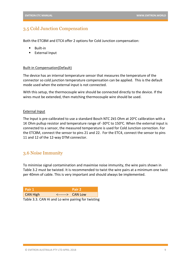### <span id="page-9-0"></span>3.5 Cold Junction Compensation

Both the ETC8M and ETC4 offer 2 options for Cold Junction compensation:

- **Built-in**
- External Input

#### Built-in Compensation(Default)

The device has an internal temperature sensor that measures the temperature of the connector so cold junction temperature compensation can be applied. This is the default mode used when the external input is not connected.

With this setup, the thermocouple wire should be connected directly to the device. If the wires must be extended, then matching thermocouple wire should be used.

#### External Input

The Input is pre-calibrated to use a standard Bosch NTC 2k5 Ohm at 20°C calibration with a 1K Ohm pullup resistor and temperature range of -30 $\degree$ C to 150 $\degree$ C. When the external input is connected to a sensor, the measured temperature is used for Cold Junction correction. For the ETC8M, connect the sensor to pins 21 and 22. For the ETC4, connect the sensor to pins 11 and 12 of the 12-way DTM connector.

### <span id="page-9-1"></span>3.6 Noise Immunity

To minimise signal contamination and maximise noise immunity, the wire pairs shown in Table 3.2 must be twisted. It is recommended to twist the wire pairs at a minimum one twist per 40mm of cable. This is very important and should always be implemented.

| l Pair 1    | Pair 2                                 |
|-------------|----------------------------------------|
| CAN High    | $\leftarrow$ ------> $\left\{$ CAN Low |
| _ _ _ _ _ _ |                                        |

Table 3.3. CAN Hi and Lo wire pairing for twisting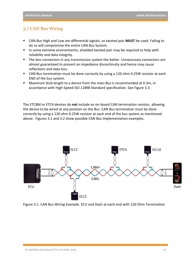### <span id="page-10-0"></span>3.7 CAN Bus Wiring

- CAN Bus High and Low are differential signals, so twisted pair MUST be used. Failing to do so will compromise the entire CAN Bus System.
- **■** In some extreme environments, shielded twisted pair may be required to help with reliability and data integrity.
- The less connectors in any transmission system the better. Unnecessary connectors are almost guaranteed to present an impedance discontinuity and hence may cause reflections and data loss.
- CAN Bus termination must be done correctly by using a 120 ohm 0.25W resistor at each END of the bus system.
- Maximum Stub length to a device from the main Bus is recommended at 0.3m, in accordance with High-Speed ISO 11898 Standard specification. See Figure 3.3.

The ETC8M or ETC4 devices do **not** include an on-board CAN termination resistor, allowing the device to be wired at any position on the Bus. CAN Bus termination must be done correctly by using a 120 ohm 0.25W resistor at each end of the bus system as mentioned above. Figures 3.1 and 3.2 show possible CAN Bus Implementation examples.



Figure 3.1. CAN Bus Wiring Example. ECU and Dash at each end with 120 Ohm Termination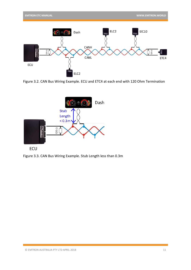

Figure 3.2. CAN Bus Wiring Example. ECU and ETC4 at each end with 120 Ohm Termination



Figure 3.3. CAN Bus Wiring Example. Stub Length less than 0.3m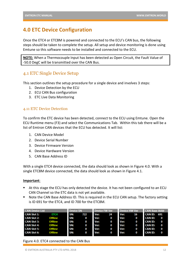# <span id="page-12-0"></span>**4.0 ETC Device Configuration**

Once the ETC4 or ETC8M is powered and connected to the ECU's CAN bus, the following steps should be taken to complete the setup. All setup and device monitoring is done using Emtune so this software needs to be installed and connected to the ECU.

**NOTE:** When a Thermocouple Input has been detected as Open Circuit, the Fault Value of -50.0 DegC will be transmitted over the CAN Bus.

### <span id="page-12-1"></span>4.1 ETC Single Device Setup

This section outlines the setup procedure for a single device and involves 3 steps:

- 1. Device Detection by the ECU
- 2. ECU CAN Bus configuration
- 3. ETC Live Data Monitoring

### <span id="page-12-2"></span>4.11 ETC Device Detection

To confirm the ETC device has been detected, connect to the ECU using Emtune. Open the ECU Runtime menu (F3) and select the Communications Tab. Within this tab there will be a list of Emtron CAN devices that the ECU has detected. It will list:

- 1. CAN Device Model
- 2. Device Serial Number
- 3. Device Firmware Version
- 4. Device Hardware Version
- 5. CAN Base Address ID

With a single ETC4 device connected, the data should look as shown in Figure 4.0. With a single ETC8M device connected, the data should look as shown in Figure 4.1.

### **Important**:

- At this stage the ECU has only detected the device. It has not been configured to an ECU CAN Channel so the ETC data is not yet available.
- Note the CAN Base Address ID. This is required in the ECU CAN setup. The factory setting is ID 691 for the ETC4, and ID 700 for the ETC8M.

| Device HW Ver<br><b>CAN Device List</b><br>Device FW Ver<br><b>Device SN</b>              | <b>CAN Base Addr</b> |
|-------------------------------------------------------------------------------------------|----------------------|
| SN:<br><b>CAN Slot 1:</b><br>Ver:<br>Ver:<br>722<br>ETC4<br>24<br>16                      | <b>CAN ID: 691</b>   |
| SN:<br>Ver:<br>Ver:<br><b>CAN Slot 2:</b><br>Offline<br>$\mathbf{o}$<br>$\mathbf{0}$<br>0 | <b>CAN ID:</b>       |
| SN:<br><b>CAN Slot 3:</b><br>Ver:<br>Ver:<br>Offline<br>$\mathbf{o}$<br>$\bullet$<br>0    | <b>CAN ID:</b>       |
| SN:<br>Ver:<br><b>CAN Slot 4:</b><br>Ver:<br>Offline<br>0<br>0<br>0                       | <b>CAN ID:</b>       |
| SN:<br><b>CAN Slot 5:</b><br>Ver:<br>Ver:<br>Offline<br>0<br>0<br>0                       | <b>CAN ID:</b>       |
| SN:<br><b>CAN Slot 6:</b><br>Ver:<br>Ver:<br><b>Offline</b><br>0<br>0<br>О                | <b>CAN ID:</b>       |

Figure 4.0. ETC4 connected to the CAN Bus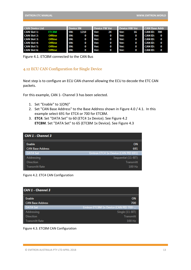| <b>CAN Device List</b> |                | <b>Device SN</b> |      | Device FW Ver |         | Device HW Ver |          | <b>CAN Base Addr</b> |   |
|------------------------|----------------|------------------|------|---------------|---------|---------------|----------|----------------------|---|
| <b>CAN Slot 1:</b>     | <b>ETC8M</b>   | SN:              | 1210 | Ver:          | 24      | Ver:          | 16       | <b>CAN ID: 700</b>   |   |
| <b>CAN Slot 2:</b>     | <b>Offline</b> | SN:              | 0    | Ver:          | 0       | Ver:          | $\bf{0}$ | <b>CAN ID:</b>       | 0 |
| <b>CAN Slot 3:</b>     | <b>Offline</b> | SN:              | 0    | Ver:          | 0       | Ver:          | $\bf{0}$ | <b>CAN ID:</b>       | 0 |
| <b>CAN Slot 4:</b>     | Offline        | SN:              | 0    | Ver:          | 0       | Ver:          | $\bf{0}$ | <b>CAN ID:</b>       | 0 |
| <b>CAN Slot 5:</b>     | Offline        | SN:              | 0    | Ver:          | $\bf o$ | Ver:          | $\bf{0}$ | <b>CAN ID:</b>       | 0 |
| <b>CAN Slot 6:</b>     | Offline        | SN:              | 0    | Ver:          | 0       | Ver:          | 0        | <b>CAN ID:</b>       | 0 |

Figure 4.1. ETC8M connected to the CAN Bus

### <span id="page-13-0"></span>4.12 ECU CAN Configuration for Single Device

Next step is to configure an ECU CAN channel allowing the ECU to decode the ETC CAN packets.

For this example, CAN 1- Channel 3 has been selected.

- 1. Set "Enable" to 1(ON)"
- 2. Set "CAN Base Address" to the Base Address shown in Figure 4.0 / 4.1. In this example select 691 for ETC4 or 700 for ETC8M.
- 3. **ETC4**. Set "DATA Set" to 60 (ETC4 1x Device). See Figure 4.2 **ETC8M**. Set "DATA Set" to 65 (ETC8M 1x Device). See Figure 4.3

| CAN 1 - Channel 3       |                                     |
|-------------------------|-------------------------------------|
| <b>Enable</b>           | <b>ON</b>                           |
| <b>CAN Base Address</b> | 691                                 |
| DATA Set                | Emtron ETC4 1x Device (CAN PID 691) |
| <b>Addressing</b>       | Sequential (11-BIT)                 |
| <b>Direction</b>        | <b>Transmitt</b>                    |
| <b>Transmitt Rate</b>   | 100 Hz                              |



| CAN 1 - Channel 3       |                                      |
|-------------------------|--------------------------------------|
| <b>Fnable</b>           | OΝ                                   |
| <b>CAN Base Address</b> | 700                                  |
| ATA Set.                | Emtron ETC8M 1x Device (CAN PID 700- |
| Idressing               | Single (11-BIT)                      |
| <i>rection</i>          | <b>Transmitt</b>                     |
| <b>Transmitt Rate</b>   | 100 H <sub>z</sub>                   |

Figure 4.3. ETC8M CAN Configuration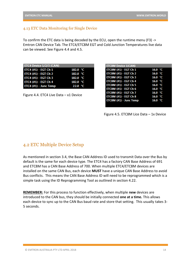### <span id="page-14-0"></span>4.13 ETC Data Monitoring for Single Device

To confirm the ETC data is being decoded by the ECU, open the runtime menu (F3) -> Emtron CAN Device Tab. The ETC4/ETC8M EGT and Cold Junction Temperatures live data can be viewed. See Figure 4.4 and 4.5.

| <b>ETC4 Device 1/2/3 (CAN)</b> |            |
|--------------------------------|------------|
| ETC4 (#1) - EGT Ch 1           | 182.0 $°C$ |
| ETC4 (#1) - EGT Ch 2           | 182.0 °C   |
| ETC4 (#1) - EGT Ch 3           | 182.0 °C   |
| ETC4 (#1) - EGT Ch 4           | 182.0 $°C$ |
| ETC4 (#1) - Junc Temp          | 22.0 °C    |

Figure 4.4. ETC4 Live Data – x1 Device

| <b>ETC8M Device 1(CAN)</b>   |                   |
|------------------------------|-------------------|
| <b>ETC8M (#1) - EGT Ch 1</b> | 16.0 $^{\circ}$ C |
| <b>ETC8M (#1) - EGT Ch 2</b> | 16.0 $^{\circ}$ C |
| <b>ETC8M (#1) - EGT Ch 3</b> | 16.0 $^{\circ}$ C |
| ETC8M (#1) - EGT Ch 4        | 16.0 °C           |
| <b>ETC8M (#1) - EGT Ch 5</b> | 16.0 °C           |
| <b>ETC8M (#1) - EGT Ch 6</b> | 16.0 °C           |
| <b>ETC8M (#1) - EGT Ch 7</b> | 16.0 °C           |
| <b>ETC8M (#1) - EGT Ch 8</b> | 16.0 $^{\circ}$ C |
| ETC8M (#1) - Junc Temp       | 16.0 $^{\circ}$ C |
|                              |                   |

Figure 4.5. ETC8M Lice Data – 1x Device

### <span id="page-14-1"></span>4.2 ETC Multiple Device Setup

As mentioned in section 3.4, the Base CAN Address ID used to transmit Data over the Bus by default is the same for each device type. The ETC4 has a factory CAN Base Address of 691 and ETC8M has a CAN Base Address of 700. When multiple ETC4/ETC8M devices are installed on the same CAN Bus, each device **MUST** have a unique CAN Base Address to avoid Bus conflicts. This means the CAN Base Address ID will need to be reprogrammed which is a simple task using the ID Reprogramming Tool as outlined in section 4.22.

**REMEMBER:** For this process to function effectively, when multiple **new** devices are introduced to the CAN bus, they should be initially connected **one at a time.** This allows each device to sync up to the CAN Bus baud rate and store that setting. This usually takes 3- 5 seconds.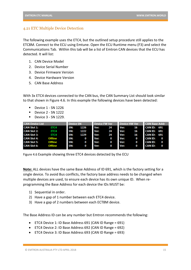### <span id="page-15-0"></span>4.21 ETC Multiple Device Detection

The following example uses the ETC4, but the outlined setup procedure still applies to the ETC8M. Connect to the ECU using Emtune. Open the ECU Runtime menu (F3) and select the Communications Tab. Within this tab will be a list of Emtron CAN devices that the ECU has detected. It will list:

- 1. CAN Device Model
- 2. Device Serial Number
- 3. Device Firmware Version
- 4. Device Hardware Version
- 5. CAN Base Address

With 3x ETC4 devices connected to the CAN bus, the CAN Summary List should look similar to that shown in Figure 4.6. In this example the following devices have been detected:

- Device 1 SN 1226
- Device 2 SN 1222
- Device 3 SN 1229.

| <b>CAN Device List</b> |                | <b>Device SN</b> |      | Device FW Ver |    | Device HW Ver |    | <b>CAN Base Addr</b> |   |
|------------------------|----------------|------------------|------|---------------|----|---------------|----|----------------------|---|
| <b>CAN Slot 1:</b>     | ETC4           | SN:              | 1226 | Ver:          | 24 | Ver:          | 16 | <b>CAN ID: 691</b>   |   |
| <b>CAN Slot 2:</b>     | ETC4           | SN:              | 1222 | Ver:          | 24 | Ver:          | 16 | <b>CAN ID: 691</b>   |   |
| <b>CAN Slot 3:</b>     | ETC4           | SN:              | 1229 | Ver:          | 24 | Ver:          | 16 | <b>CAN ID: 691</b>   |   |
| <b>CAN Slot 4:</b>     | <b>Offline</b> | SN:              | 0    | Ver:          | 0  | Ver:          | 0  | <b>CAN ID:</b>       | 0 |
| <b>CAN Slot 5:</b>     | <b>Offline</b> | SN:              | 0    | Ver:          | 0  | Ver:          | 0  | <b>CAN ID:</b>       | 0 |
| <b>CAN Slot 6:</b>     | <b>Offline</b> | SN:              | 0    | Ver:          | 0  | Ver:          | 0  | <b>CAN ID:</b>       |   |

Figure 4.6 Example showing three ETC4 devices detected by the ECU

**Note:** ALL devices have the same Base Address of ID 691, which is the factory setting for a single device. To avoid Bus conflicts, the factory base address needs to be changed when multiple devices are used, to ensure each device has its own unique ID. When reprogramming the Base Address for each device the IDs MUST be:

- 1) Sequential in order.
- 2) Have a gap of 1 number between each ETC4 device.
- 3) Have a gap of 2 numbers between each ECT8M device.

The Base Address ID can be any number but Emtron recommends the following:

- ETC4 Device 1: ID Base Address 691 (CAN ID Range = 691)
- ETC4 Device 2: ID Base Address 692 (CAN ID Range = 692)
- ETC4 Device 3: ID Base Address 693 (CAN ID Range = 693)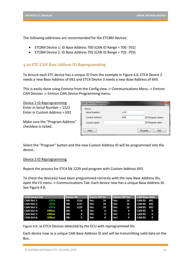The following addresses are recommended for the ETC8M devices:

- ETC8M Device 1: ID Base Address 700 (CAN ID Range = 700 -701)
- ETC8M Device 2: ID Base Address 702 (CAN ID Range = 702 -703)

### <span id="page-16-0"></span>4.22 ETC CAN Base Address ID Reprogramming

To ensure each ETC device has a unique ID from the example in Figure 4.6, ETC4 Device 2 needs a new Base Address of 692 and ETC4 Device 3 needs a new Base Address of 693.

This is easily done using Emtune from the Config view -> Communications Menu -> Emtron CAN Devices -> Emtron CAN Device Programming menu.

Device 2 ID Reprogramming Enter in Serial Number = 1222 Enter in Custom Address = 692

Make sure the "Program Address" checkbox is ticked.

| CAN Device Programming |                                |
|------------------------|--------------------------------|
| Device                 |                                |
| <b>Serial Number:</b>  | 1222                           |
| <b>Custom Address:</b> | 692<br><b>√</b> Program Addres |
| <b>Custom Label:</b>   | <b>V</b> Program Label         |
| <b>Help</b>            | Exit<br>Program                |

Select the "Program" button and the new Custom Address ID will be programmed into the device.

#### Device 3 ID Reprogramming

Repeat the process for ETC4 SN 1229 and program with Custom Address 693.

To check the device(s) have been programmed correctly with the new Base Address IDs, open the F3 menu -> Communications Tab. Each device now has a unique Base Address ID. See Figure 4.8.

| <b>CAN Device List</b> |                | <b>Device SN</b> |      | Device FW Ver |    | Device HW Ver |    | <b>CAN Base Addr</b> |     |
|------------------------|----------------|------------------|------|---------------|----|---------------|----|----------------------|-----|
| <b>CAN Slot 1:</b>     | ETC4           | SN:              | 1226 | Ver:          | 24 | Ver:          | 16 | <b>CAN ID: 691</b>   |     |
| <b>CAN Slot 2:</b>     | ETC4           | SN:              | 1222 | Ver:          | 24 | Ver:          | 16 | <b>CAN ID: 692</b>   |     |
| <b>CAN Slot 3:</b>     | ETC4           | SN:              | 1229 | Ver:          | 24 | Ver:          | 16 | <b>CAN ID:</b>       | 693 |
| <b>CAN Slot 4:</b>     | Offline        | SN:              | 0    | Ver:          | 0  | Ver:          | 0  | <b>CAN ID:</b>       | 0   |
| <b>CAN Slot 5:</b>     | <b>Offline</b> | SN:              | 0    | Ver:          | 0  | Ver:          | 0  | <b>CAN ID:</b>       | o   |
| <b>CAN Slot 6:</b>     | <b>Offline</b> | SN:              | 0    | Ver:          | 0  | Ver:          | 0  | <b>CAN ID:</b>       | 0   |

Figure 4.8. 3x ETC4 Devices detected by the ECU with reprogrammed IDs

Each device now as a unique CAN Base Address ID and will be transmitting valid data on the Bus.

<sup>©</sup> EMTRON AUSTRALIA PTY LTD APRIL 2018 16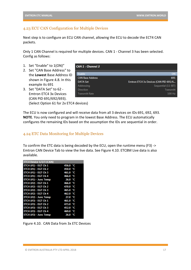### <span id="page-17-0"></span>4.23 ECU CAN Configuration for Multiple Devices

Next step is to configure an ECU CAN channel, allowing the ECU to decode the ECT4 CAN packets.

Only 1 CAN Channel is required for multiple devices. CAN 1 - Channel 3 has been selected. Config as follows:

- 1. Set "Enable" to 1(ON)"
- 2. Set "CAN Base Address" to the **Lowest** Base Address ID shown in Figure 4.8. In this example its 691
- 3. Set "DATA Set" to 62 Emtron ETC4 3x Devices (CAN PID 691/692/693).

(Select Option 61 for 2x ETC4 devices)

CAN 1 - Channel 3 Enable **CAN Base Address** 691 **DATA Set** Emtron ETC4 3x Devices (CAN PID 691/6... Addressing Sequential (11-BIT) Direction Transmitt **Transmitt Rate** 100 Hz

The ECU is now configured and will receive data from all 3 devices on IDs 691, 692, 693. **NOTE**. You only need to program in the lowest Base Address. The ECU automatically configures the remaining IDs based on the assumption the IDs are sequential in order.

#### <span id="page-17-1"></span>4.24 ETC Data Monitoring for Multiple Devices

To confirm the ETC data is being decoded by the ECU, open the runtime menu (F3) -> Emtron CAN Device Tab to view the live data. See Figure 4.10. ETC8M Live data is also available.

| ETC4 Device 1/2/3 (CAN) |          |    |
|-------------------------|----------|----|
| ETC4 (#1) - EGT Ch 1    | 456.0 °C |    |
| ETC4 (#1) - EGT Ch 2    | 450.0 °C |    |
| ETC4 (#1) - EGT Ch 3    | 461.0 °C |    |
| ETC4 (#1) - EGT Ch 4    | 466.0 °C |    |
| ETC4 (#1) - Junc Temp   | 26.0 °C  |    |
| ETC4 (#2) - EGT Ch 1    | 466.0 °C |    |
| ETC4 (#2) - EGT Ch 2    | 470.0 °C |    |
| ETC4 (#2) - EGT Ch 3    | 465.0 °C |    |
| ETC4 (#2) - EGT Ch 4    | 462.0 °C |    |
| $ETC4$ (#2) - Junc Temp | 27.0 °C  |    |
| ETC4 (#3) - EGT Ch 1    | 461.0 °C |    |
| ETC4 (#3) - EGT Ch 2    | 473.0 °C |    |
| ETC4 (#3) - EGT Ch 3    | 452.0 °C |    |
| ETC4 (#3) - EGT Ch 4    | 469.0 °C |    |
| ETC4 (#3) - Junc Temp   | 26.0     | ٠с |
|                         |          |    |

Figure 4.10. CAN Data from 3x ETC Devices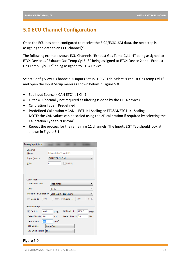# <span id="page-18-0"></span>**5.0 ECU Channel Configuration**

Once the ECU has been configured to receive the EIC4/ECIC16M data, the next step is assigning the data to an ECU channel(s).

The following example shows ECU Channels "Exhaust Gas Temp Cyl1 -4" being assigned to ETC4 Device 1, "Exhaust Gas Temp Cyl 5 -8" being assigned to ETC4 Device 2 and "Exhaust Gas Temp Cyl9 -12" being assigned to ETC4 Device 3.

Select Config View-> Channels -> Inputs Setup -> EGT Tab. Select "Exhaust Gas temp Cyl 1" and open the Input Setup menu as shown below in Figure 5.0.

- Set Input Source = CAN ETC4 #1 Ch-1
- $\bullet$  Filter = 0 (normally not required as filtering is done by the ETC4 device)
- Calibration Type = Predefined
- Predefined Calibration = CAN EGT 1:1 Scaling or ETC8M/ETC4 1:1 Scaling **NOTE**: the CAN values can be scaled using the 2D calibration if required by selecting the Calibration Type to "Custom"
- Repeat the process for the remaining 11 channels. The Inputs EGT Tab should look at shown in Figure 5.1.

| Analog Input Setup               |                   |             |                        |         |      |
|----------------------------------|-------------------|-------------|------------------------|---------|------|
| Channel<br>Name                  |                   |             | Exhaust Gas Temp Cyl 1 |         |      |
| CAN ETC4 #1 Ch-1<br>Input Source |                   |             |                        |         |      |
| Filter                           | o                 |             | Pull Up                |         |      |
|                                  |                   |             |                        |         |      |
|                                  |                   |             |                        |         |      |
| Calibration                      |                   |             |                        |         |      |
| <b>Calibration Type</b>          |                   | Predefined  |                        |         |      |
| <b>Units</b>                     |                   | degC        |                        |         |      |
| <b>Predefined Calibration</b>    |                   |             | ETC8M/ETC4 1:1 Scaling |         |      |
| Clamp Lo<br>F                    | $-50.0$           |             | degC   Clamp H         | $-50.0$ | degC |
| <b>Fault Settings</b>            |                   |             |                        |         |      |
| V Fault Lo                       | $-40.0$           | <b>DegC</b> | <b>V</b> Fault Hi      | 1250.0  | DegC |
| Detect Time Lo 0.0               |                   | sec         | Detect Time Hi 0.0     |         | sec  |
| <b>Fault Value</b>               | 0.0               | degC        |                        |         |      |
| <b>DTC Control</b>               | <b>Auto Clear</b> |             |                        |         |      |
| <b>DTC Engine Limit</b>          | OFF               |             |                        |         |      |
|                                  |                   |             |                        |         |      |

#### Figure 5.0.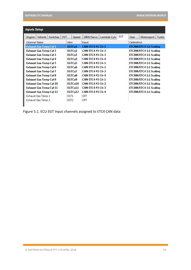| <b>EGT</b><br>DBW/Servo<br>Lambda Cyls<br>Vehicle<br><b>Switches</b><br><b>WT</b><br><b>User</b><br>Motorsport<br>Turbo<br>Speed<br>Engine<br>Calibration<br><b>Channel Name</b><br>Abry<br>Input<br>EGTCv1<br><b>Exhaust Gas Temp Cyl 1</b><br><b>CAN ETC4 #1 Ch-1</b><br>ETC8M/ETC4 1:1 Scaling<br><b>CAN ETC4 #1 Ch-2</b><br>EGTC <sub>v2</sub><br>ETC8M/ETC4 1:1 Scaling<br>Exhaust Gas Temp Cyl 2<br><b>CAN ETC4 #1 Ch-3</b><br>EGTC <sub>v</sub> 3<br>ETC8M/ETC4 1:1 Scaling<br>Exhaust Gas Temp Cyl 3<br><b>CAN ETC4 #1 Ch-4</b><br>EGTC <sub>v</sub> 4<br>ETC8M/ETC4 1:1 Scaling<br><b>Exhaust Gas Temp Cyl 4</b><br><b>CAN ETC4 #2 Ch-1</b><br>EGTC <sub>v</sub> 5<br>ETC8M/ETC4 1:1 Scaling<br><b>Exhaust Gas Temp Cyl 5</b><br>CAN ETC4 #2 Ch-2<br>EGTC <sub>v</sub> 6<br>ETC8M/ETC4 1:1 Scaling<br>Exhaust Gas Temp Cyl 6<br><b>CAN ETC4 #2 Ch-3</b><br>EGTCy7<br>ETC8M/ETC4 1:1 Scaling<br>Exhaust Gas Temp Cyl 7<br><b>CAN ETC4 #2 Ch-4</b><br>ETC8M/ETC4 1:1 Scaling<br>Exhaust Gas Temp Cyl 8<br>EGTC <sub>v</sub> 8<br><b>CAN ETC4 #3 Ch-1</b><br>ETC8M/ETC4 1:1 Scaling<br><b>Exhaust Gas Temp Cyl 9</b><br>EGTC <sub>v9</sub><br><b>CAN ETC4 #3 Ch-2</b><br>EGTC <sub>v</sub> 10<br>ETC8M/ETC4 1:1 Scaling<br><b>Exhaust Gas Temp Cyl 10</b><br><b>CAN ETC4 #3 Ch-3</b><br>EGTC <sub>v11</sub><br>ETC8M/ETC4 1:1 Scaling<br><b>Exhaust Gas Temp Cyl 11</b><br><b>CAN ETC4 #3 Ch-4</b><br>EGTC <sub>v</sub> 12<br>ETC8M/ETC4 1:1 Scaling<br><b>Exhaust Gas Temp Cyl 12</b><br>EGT1<br>OFF<br>Exhaust Gas Temp 1<br>OFF<br>EGT2<br>Exhaust Gas Temp 2 | <b>Inputs Setup</b> |  |  |  |  |  |  |  |  |
|------------------------------------------------------------------------------------------------------------------------------------------------------------------------------------------------------------------------------------------------------------------------------------------------------------------------------------------------------------------------------------------------------------------------------------------------------------------------------------------------------------------------------------------------------------------------------------------------------------------------------------------------------------------------------------------------------------------------------------------------------------------------------------------------------------------------------------------------------------------------------------------------------------------------------------------------------------------------------------------------------------------------------------------------------------------------------------------------------------------------------------------------------------------------------------------------------------------------------------------------------------------------------------------------------------------------------------------------------------------------------------------------------------------------------------------------------------------------------------------------------------------------------------------------------------------------|---------------------|--|--|--|--|--|--|--|--|
|                                                                                                                                                                                                                                                                                                                                                                                                                                                                                                                                                                                                                                                                                                                                                                                                                                                                                                                                                                                                                                                                                                                                                                                                                                                                                                                                                                                                                                                                                                                                                                        |                     |  |  |  |  |  |  |  |  |
|                                                                                                                                                                                                                                                                                                                                                                                                                                                                                                                                                                                                                                                                                                                                                                                                                                                                                                                                                                                                                                                                                                                                                                                                                                                                                                                                                                                                                                                                                                                                                                        |                     |  |  |  |  |  |  |  |  |
|                                                                                                                                                                                                                                                                                                                                                                                                                                                                                                                                                                                                                                                                                                                                                                                                                                                                                                                                                                                                                                                                                                                                                                                                                                                                                                                                                                                                                                                                                                                                                                        |                     |  |  |  |  |  |  |  |  |
|                                                                                                                                                                                                                                                                                                                                                                                                                                                                                                                                                                                                                                                                                                                                                                                                                                                                                                                                                                                                                                                                                                                                                                                                                                                                                                                                                                                                                                                                                                                                                                        |                     |  |  |  |  |  |  |  |  |
|                                                                                                                                                                                                                                                                                                                                                                                                                                                                                                                                                                                                                                                                                                                                                                                                                                                                                                                                                                                                                                                                                                                                                                                                                                                                                                                                                                                                                                                                                                                                                                        |                     |  |  |  |  |  |  |  |  |
|                                                                                                                                                                                                                                                                                                                                                                                                                                                                                                                                                                                                                                                                                                                                                                                                                                                                                                                                                                                                                                                                                                                                                                                                                                                                                                                                                                                                                                                                                                                                                                        |                     |  |  |  |  |  |  |  |  |
|                                                                                                                                                                                                                                                                                                                                                                                                                                                                                                                                                                                                                                                                                                                                                                                                                                                                                                                                                                                                                                                                                                                                                                                                                                                                                                                                                                                                                                                                                                                                                                        |                     |  |  |  |  |  |  |  |  |
|                                                                                                                                                                                                                                                                                                                                                                                                                                                                                                                                                                                                                                                                                                                                                                                                                                                                                                                                                                                                                                                                                                                                                                                                                                                                                                                                                                                                                                                                                                                                                                        |                     |  |  |  |  |  |  |  |  |
|                                                                                                                                                                                                                                                                                                                                                                                                                                                                                                                                                                                                                                                                                                                                                                                                                                                                                                                                                                                                                                                                                                                                                                                                                                                                                                                                                                                                                                                                                                                                                                        |                     |  |  |  |  |  |  |  |  |
|                                                                                                                                                                                                                                                                                                                                                                                                                                                                                                                                                                                                                                                                                                                                                                                                                                                                                                                                                                                                                                                                                                                                                                                                                                                                                                                                                                                                                                                                                                                                                                        |                     |  |  |  |  |  |  |  |  |
|                                                                                                                                                                                                                                                                                                                                                                                                                                                                                                                                                                                                                                                                                                                                                                                                                                                                                                                                                                                                                                                                                                                                                                                                                                                                                                                                                                                                                                                                                                                                                                        |                     |  |  |  |  |  |  |  |  |
|                                                                                                                                                                                                                                                                                                                                                                                                                                                                                                                                                                                                                                                                                                                                                                                                                                                                                                                                                                                                                                                                                                                                                                                                                                                                                                                                                                                                                                                                                                                                                                        |                     |  |  |  |  |  |  |  |  |
|                                                                                                                                                                                                                                                                                                                                                                                                                                                                                                                                                                                                                                                                                                                                                                                                                                                                                                                                                                                                                                                                                                                                                                                                                                                                                                                                                                                                                                                                                                                                                                        |                     |  |  |  |  |  |  |  |  |
|                                                                                                                                                                                                                                                                                                                                                                                                                                                                                                                                                                                                                                                                                                                                                                                                                                                                                                                                                                                                                                                                                                                                                                                                                                                                                                                                                                                                                                                                                                                                                                        |                     |  |  |  |  |  |  |  |  |
|                                                                                                                                                                                                                                                                                                                                                                                                                                                                                                                                                                                                                                                                                                                                                                                                                                                                                                                                                                                                                                                                                                                                                                                                                                                                                                                                                                                                                                                                                                                                                                        |                     |  |  |  |  |  |  |  |  |
|                                                                                                                                                                                                                                                                                                                                                                                                                                                                                                                                                                                                                                                                                                                                                                                                                                                                                                                                                                                                                                                                                                                                                                                                                                                                                                                                                                                                                                                                                                                                                                        |                     |  |  |  |  |  |  |  |  |

|  |  | Figure 5.1. ECU EGT Input channels assigned to ETC4 CAN data |  |
|--|--|--------------------------------------------------------------|--|
|--|--|--------------------------------------------------------------|--|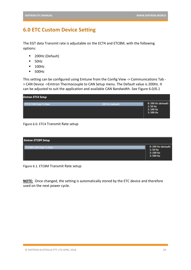# <span id="page-20-0"></span>**6.0 ETC Custom Device Setting**

The EGT data Transmit rate is adjustable on the ECT4 and ETC8M, with the following options:

- 200Hz (Default)
- 50Hz
- 100Hz
- 500Hz

This setting can be configured using Emtune from the Config View -> Communications Tab - > CAN Device ->Emtron Thermocouple to CAN Setup menu. The Default value is 200Hz. It can be adjusted to suit the application and available CAN Bandwidth. See Figure 6.0/6.1

| <b>Emtron ETC4 Setup</b> |                                                              |
|--------------------------|--------------------------------------------------------------|
| . .                      | 0: 200 Hz (default)<br>$1:50$ Hz<br>$2:100$ Hz<br>$3:500$ Hz |

#### Figure 6.0. ETC4 Transmit Rate setup

| <b>Emtron ETC8M Setup</b> |                                                              |
|---------------------------|--------------------------------------------------------------|
|                           | 0: 200 Hz (default)<br>$1:50$ Hz<br>$2:100$ Hz<br>$3:500$ Hz |

Figure 6.1. ETC8M Transmit Rate setup

**NOTE:** Once changed, the setting is automatically stored by the ETC device and therefore used on the next power cycle.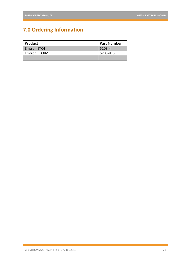# <span id="page-21-0"></span>**7.0 Ordering Information**

| Product      | Part Number |
|--------------|-------------|
| Emtron ETC4  | 5203-4      |
| Emtron ETC8M | l 5203-813  |
|              |             |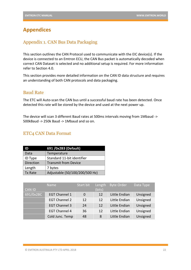# <span id="page-22-0"></span>**Appendices**

# <span id="page-22-1"></span>Appendix 1. CAN Bus Data Packaging

This section outlines the CAN Protocol used to communicate with the EIC device(s). If the device is connected to an Emtron ECU, the CAN Bus packet is automatically decoded when correct CAN Dataset is selected and no additional setup is required. For more information refer to Section 4.0.

This section provides more detailed information on the CAN ID data structure and requires an understanding of both CAN protocols and data packaging.

### Baud Rate

The ETC will Auto-scan the CAN bus until a successful baud rate has been detected. Once detected this rate will be stored by the device and used at the next power up.

The device will scan 3 different Baud rates at 500ms intervals moving from 1Mbaud -> 500kBaud -> 250k Baud -> 1Mbaud and so on.

### ETC4 CAN Data Format

| ID             | 691 /0x2B3 (Default)           |
|----------------|--------------------------------|
| Data           | Temperature                    |
| <b>ID Type</b> | Standard 11-bit identifier     |
| Direction      | <b>Transmit from Device</b>    |
| Length         | 7 bytes                        |
| Tx Rate        | Adjustable (50/100/200/500 Hz) |

|               | <b>Name</b>          | Start bit | Length | <b>Byte Order</b> | Data Type |
|---------------|----------------------|-----------|--------|-------------------|-----------|
| <b>CAN ID</b> |                      |           | (bits) |                   |           |
| 691/0x2BC     | <b>EGT Channel 1</b> | 0         | 12     | Little Endian     | Unsigned  |
|               | <b>EGT Channel 2</b> | 12        | 12     | Little Endian     | Unsigned  |
|               | <b>EGT Channel 3</b> | 24        | 12     | Little Endian     | Unsigned  |
|               | <b>EGT Channel 4</b> | 36        | 12     | Little Endian     | Unsigned  |
|               | Cold Junc. Temp      | 48        | 8      | Little Endian     | Unsigned  |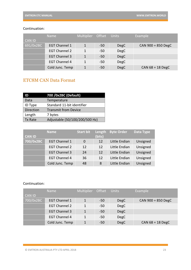|               | Name                 | Multiplier Offset |       | <b>Units</b> | Example              |
|---------------|----------------------|-------------------|-------|--------------|----------------------|
| <b>CAN ID</b> |                      |                   |       |              |                      |
| 691/0x2BC     | <b>EGT Channel 1</b> |                   | $-50$ | <b>DegC</b>  | $CAN$ 900 = 850 DegC |
|               | <b>EGT Channel 2</b> | 1                 | $-50$ | <b>DegC</b>  |                      |
|               | <b>EGT Channel 3</b> |                   | $-50$ | <b>DegC</b>  |                      |
|               | <b>EGT Channel 4</b> | 1                 | $-50$ | <b>DegC</b>  |                      |
|               | Cold Junc. Temp      |                   | $-50$ | <b>DegC</b>  | CAN $68 = 18$ DegC   |

### Continuation:

# ETC8M CAN Data Format

| ID        | 700 / Ox2BC (Default)          |
|-----------|--------------------------------|
| Data      | Temperature                    |
| ID Type   | Standard 11-bit identifier     |
| Direction | <b>Transmit from Device</b>    |
| Length    | 7 bytes                        |
| Tx Rate   | Adjustable (50/100/200/500 Hz) |

| <b>CAN ID</b> | Name                 | <b>Start bit</b> | Length<br>(bits) | <b>Byte Order</b> | Data Type |
|---------------|----------------------|------------------|------------------|-------------------|-----------|
| 700/0x2BC     | <b>EGT Channel 1</b> | $\Omega$         | 12               | Little Endian     | Unsigned  |
|               | <b>EGT Channel 2</b> | 12               | 12               | Little Endian     | Unsigned  |
|               | <b>EGT Channel 3</b> | 24               | 12               | Little Endian     | Unsigned  |
|               | <b>EGT Channel 4</b> | 36               | 12               | Little Endian     | Unsigned  |
|               | Cold Junc. Temp      | 48               | 8                | Little Endian     | Unsigned  |

#### Continuation:

|               | <b>Name</b>          | Multiplier Offset Units |       |             | Example              |
|---------------|----------------------|-------------------------|-------|-------------|----------------------|
| <b>CAN ID</b> |                      |                         |       |             |                      |
| 700/0x2BC     | <b>EGT Channel 1</b> | 1                       | $-50$ | <b>DegC</b> | $CAN$ 900 = 850 DegC |
|               | <b>EGT Channel 2</b> | 1                       | $-50$ | <b>DegC</b> |                      |
|               | <b>EGT Channel 3</b> | 1                       | $-50$ | <b>DegC</b> |                      |
|               | <b>EGT Channel 4</b> |                         | $-50$ | <b>DegC</b> |                      |
|               | Cold Junc. Temp      |                         | $-50$ | <b>DegC</b> | CAN $68 = 18$ DegC   |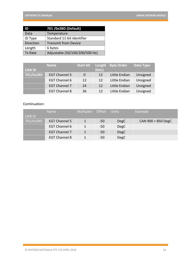| ID               | 701 /0x2BD (Default)           |
|------------------|--------------------------------|
| Data             | Temperature                    |
| ID Type          | Standard 11-bit identifier     |
| <b>Direction</b> | <b>Transmit from Device</b>    |
| Length           | 6 bytes                        |
| Tx Rate          | Adjustable (50/100/200/500 Hz) |

|               | <b>Name</b>          | Start bit      | Length | <b>Byte Order</b> | Data Type |
|---------------|----------------------|----------------|--------|-------------------|-----------|
| <b>CAN ID</b> |                      |                | (bits) |                   |           |
| 701/0x2BD     | <b>EGT Channel 5</b> | $\overline{0}$ | 12     | Little Endian     | Unsigned  |
|               | <b>EGT Channel 6</b> | 12             | 12     | Little Endian     | Unsigned  |
|               | <b>EGT Channel 7</b> | 24             | 12     | Little Endian     | Unsigned  |
|               | <b>EGT Channel 8</b> | 36             | 12     | Little Endian     | Unsigned  |

### Continuation:

|               | <b>Name</b>          | Multiplier Offset |       | <b>Units</b> | Example              |
|---------------|----------------------|-------------------|-------|--------------|----------------------|
| <b>CAN ID</b> |                      |                   |       |              |                      |
| 701/0x2BD     | <b>EGT Channel 5</b> | 1                 | $-50$ | <b>DegC</b>  | $CAN$ 900 = 850 DegC |
|               | <b>EGT Channel 6</b> |                   | $-50$ | <b>DegC</b>  |                      |
|               | <b>EGT Channel 7</b> |                   | $-50$ | <b>DegC</b>  |                      |
|               | <b>EGT Channel 8</b> |                   | $-50$ | <b>DegC</b>  |                      |